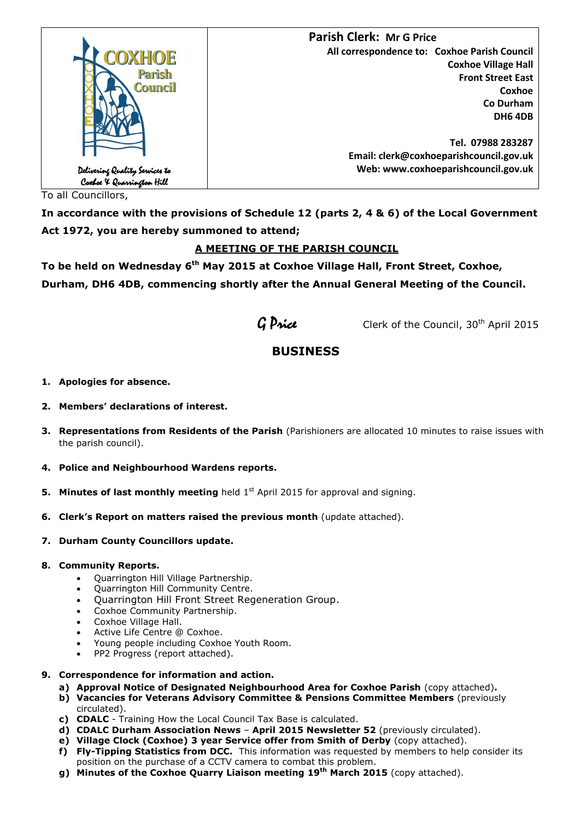

To all Councillors,

**In accordance with the provisions of Schedule 12 (parts 2, 4 & 6) of the Local Government Act 1972, you are hereby summoned to attend;**

## **A MEETING OF THE PARISH COUNCIL**

**To be held on Wednesday 6 th May 2015 at Coxhoe Village Hall, Front Street, Coxhoe, Durham, DH6 4DB, commencing shortly after the Annual General Meeting of the Council.**



G Price Clerk of the Council, 30<sup>th</sup> April 2015

# **BUSINESS**

- **1. Apologies for absence.**
- **2. Members' declarations of interest.**
- **3. Representations from Residents of the Parish** (Parishioners are allocated 10 minutes to raise issues with the parish council).
- **4. Police and Neighbourhood Wardens reports.**
- **5. Minutes of last monthly meeting** held 1<sup>st</sup> April 2015 for approval and signing.
- **6. Clerk's Report on matters raised the previous month** (update attached).
- **7. Durham County Councillors update.**

#### **8. Community Reports.**

- Quarrington Hill Village Partnership.
- Quarrington Hill Community Centre.
- Quarrington Hill Front Street Regeneration Group.
- Coxhoe Community Partnership.
- Coxhoe Village Hall.
- Active Life Centre @ Coxhoe.
- Young people including Coxhoe Youth Room.
- PP2 Progress (report attached).
- **9. Correspondence for information and action.**
	- **a) Approval Notice of Designated Neighbourhood Area for Coxhoe Parish** (copy attached)**.**
	- **b) Vacancies for Veterans Advisory Committee & Pensions Committee Members** (previously circulated).
	- **c) CDALC**  Training How the Local Council Tax Base is calculated.
	- **d) CDALC Durham Association News April 2015 Newsletter 52** (previously circulated).
	- **e) Village Clock (Coxhoe) 3 year Service offer from Smith of Derby** (copy attached).
	- **f) Fly-Tipping Statistics from DCC.** This information was requested by members to help consider its position on the purchase of a CCTV camera to combat this problem.
	- **g) Minutes of the Coxhoe Quarry Liaison meeting 19th March 2015** (copy attached).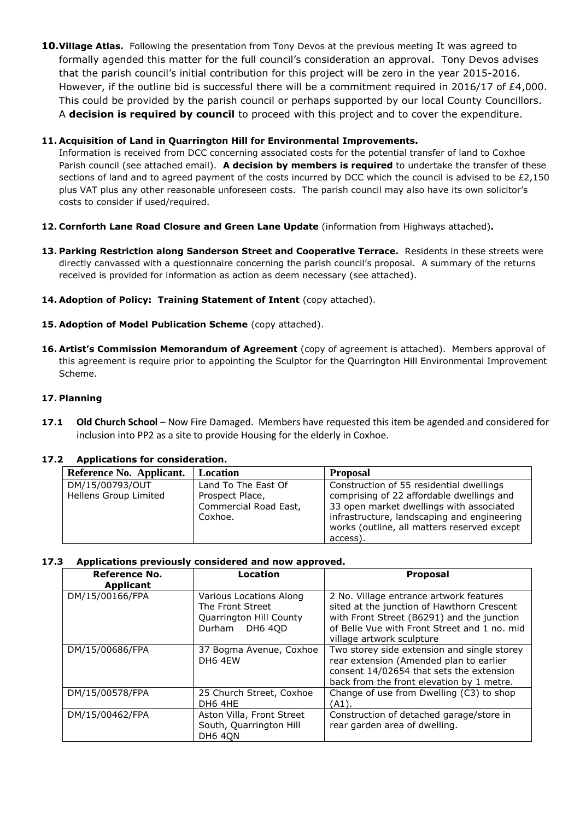**10.Village Atlas.** Following the presentation from Tony Devos at the previous meeting It was agreed to formally agended this matter for the full council's consideration an approval. Tony Devos advises that the parish council's initial contribution for this project will be zero in the year 2015-2016. However, if the outline bid is successful there will be a commitment required in 2016/17 of £4,000. This could be provided by the parish council or perhaps supported by our local County Councillors. A **decision is required by council** to proceed with this project and to cover the expenditure.

### **11. Acquisition of Land in Quarrington Hill for Environmental Improvements.**

Information is received from DCC concerning associated costs for the potential transfer of land to Coxhoe Parish council (see attached email). **A decision by members is required** to undertake the transfer of these sections of land and to agreed payment of the costs incurred by DCC which the council is advised to be £2,150 plus VAT plus any other reasonable unforeseen costs. The parish council may also have its own solicitor's costs to consider if used/required.

- **12. Cornforth Lane Road Closure and Green Lane Update** (information from Highways attached)**.**
- **13. Parking Restriction along Sanderson Street and Cooperative Terrace.** Residents in these streets were directly canvassed with a questionnaire concerning the parish council's proposal. A summary of the returns received is provided for information as action as deem necessary (see attached).
- **14. Adoption of Policy: Training Statement of Intent** (copy attached).
- **15. Adoption of Model Publication Scheme** (copy attached).
- **16. Artist's Commission Memorandum of Agreement** (copy of agreement is attached). Members approval of this agreement is require prior to appointing the Sculptor for the Quarrington Hill Environmental Improvement Scheme.

#### **17. Planning**

**17.1 Old Church School** – Now Fire Damaged. Members have requested this item be agended and considered for inclusion into PP2 as a site to provide Housing for the elderly in Coxhoe.

| Applications for consideration:          |                                                                            |                                                                                                                                                                                                                                             |
|------------------------------------------|----------------------------------------------------------------------------|---------------------------------------------------------------------------------------------------------------------------------------------------------------------------------------------------------------------------------------------|
| Reference No. Applicant.                 | <b>Location</b>                                                            | <b>Proposal</b>                                                                                                                                                                                                                             |
| DM/15/00793/OUT<br>Hellens Group Limited | Land To The East Of<br>Prospect Place,<br>Commercial Road East,<br>Coxhoe. | Construction of 55 residential dwellings<br>comprising of 22 affordable dwellings and<br>33 open market dwellings with associated<br>infrastructure, landscaping and engineering<br>works (outline, all matters reserved except<br>access). |

#### **17.2 Applications for consideration.**

#### **17.3 Applications previously considered and now approved.**

| Reference No.<br><b>Applicant</b> | Location                                                                                 | <b>Proposal</b>                                                                                                                                                                                                  |
|-----------------------------------|------------------------------------------------------------------------------------------|------------------------------------------------------------------------------------------------------------------------------------------------------------------------------------------------------------------|
| DM/15/00166/FPA                   | Various Locations Along<br>The Front Street<br>Quarrington Hill County<br>Durham DH6 4QD | 2 No. Village entrance artwork features<br>sited at the junction of Hawthorn Crescent<br>with Front Street (B6291) and the junction<br>of Belle Vue with Front Street and 1 no. mid<br>village artwork sculpture |
| DM/15/00686/FPA                   | 37 Bogma Avenue, Coxhoe<br>DH6 4EW                                                       | Two storey side extension and single storey<br>rear extension (Amended plan to earlier<br>consent 14/02654 that sets the extension<br>back from the front elevation by 1 metre.                                  |
| DM/15/00578/FPA                   | 25 Church Street, Coxhoe<br>DH6 4HE                                                      | Change of use from Dwelling (C3) to shop<br>$(A1)$ .                                                                                                                                                             |
| DM/15/00462/FPA                   | Aston Villa, Front Street<br>South, Quarrington Hill<br><b>DH6 40N</b>                   | Construction of detached garage/store in<br>rear garden area of dwelling.                                                                                                                                        |